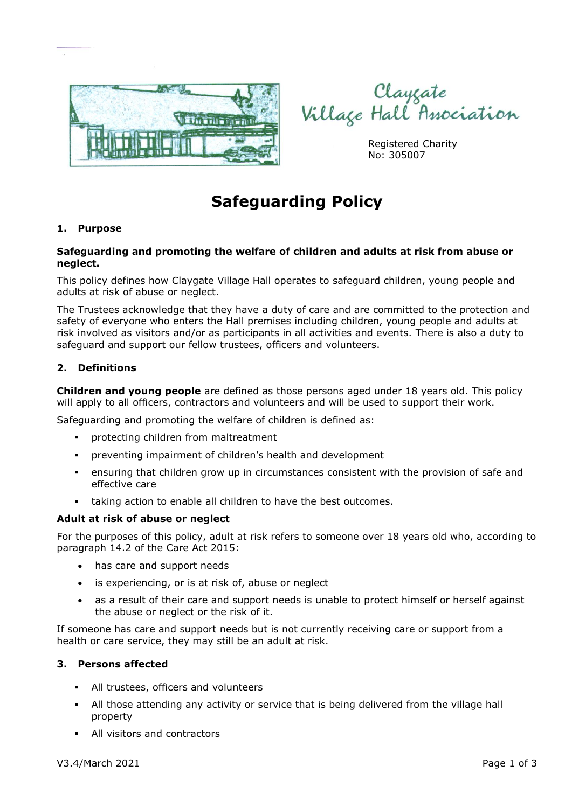

Clayçate<br>Village Hall Association

Registered Charity No: 305007

# **Safeguarding Policy**

## **1. Purpose**

## **Safeguarding and promoting the welfare of children and adults at risk from abuse or neglect.**

This policy defines how Claygate Village Hall operates to safeguard children, young people and adults at risk of abuse or neglect.

The Trustees acknowledge that they have a duty of care and are committed to the protection and safety of everyone who enters the Hall premises including children, young people and adults at risk involved as visitors and/or as participants in all activities and events. There is also a duty to safeguard and support our fellow trustees, officers and volunteers.

## **2. Definitions**

**Children and young people** are defined as those persons aged under 18 years old. This policy will apply to all officers, contractors and volunteers and will be used to support their work.

Safeguarding and promoting the welfare of children is defined as:

- protecting children from maltreatment
- preventing impairment of children's health and development
- **•** ensuring that children grow up in circumstances consistent with the provision of safe and effective care
- taking action to enable all children to have the best outcomes.

#### **Adult at risk of abuse or neglect**

For the purposes of this policy, adult at risk refers to someone over 18 years old who, according to paragraph 14.2 of the Care Act 2015:

- has care and support needs
- is experiencing, or is at risk of, abuse or neglect
- as a result of their care and support needs is unable to protect himself or herself against the abuse or neglect or the risk of it.

If someone has care and support needs but is not currently receiving care or support from a health or care service, they may still be an adult at risk.

#### **3. Persons affected**

- All trustees, officers and volunteers
- All those attending any activity or service that is being delivered from the village hall property
- All visitors and contractors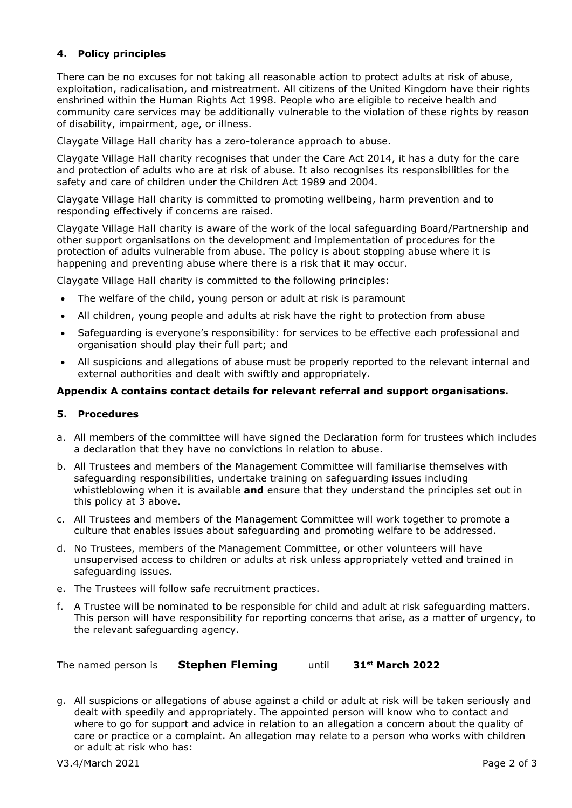## **4. Policy principles**

There can be no excuses for not taking all reasonable action to protect adults at risk of abuse, exploitation, radicalisation, and mistreatment. All citizens of the United Kingdom have their rights enshrined within the Human Rights Act 1998. People who are eligible to receive health and community care services may be additionally vulnerable to the violation of these rights by reason of disability, impairment, age, or illness.

Claygate Village Hall charity has a zero-tolerance approach to abuse.

Claygate Village Hall charity recognises that under the Care Act 2014, it has a duty for the care and protection of adults who are at risk of abuse. It also recognises its responsibilities for the safety and care of children under the Children Act 1989 and 2004.

Claygate Village Hall charity is committed to promoting wellbeing, harm prevention and to responding effectively if concerns are raised.

Claygate Village Hall charity is aware of the work of the local safeguarding Board/Partnership and other support organisations on the development and implementation of procedures for the protection of adults vulnerable from abuse. The policy is about stopping abuse where it is happening and preventing abuse where there is a risk that it may occur.

Claygate Village Hall charity is committed to the following principles:

- The welfare of the child, young person or adult at risk is paramount
- All children, young people and adults at risk have the right to protection from abuse
- Safeguarding is everyone's responsibility: for services to be effective each professional and organisation should play their full part; and
- All suspicions and allegations of abuse must be properly reported to the relevant internal and external authorities and dealt with swiftly and appropriately.

#### **Appendix A contains contact details for relevant referral and support organisations.**

#### **5. Procedures**

- a. All members of the committee will have signed the Declaration form for trustees which includes a declaration that they have no convictions in relation to abuse.
- b. All Trustees and members of the Management Committee will familiarise themselves with safeguarding responsibilities, undertake training on safeguarding issues including whistleblowing when it is available **and** ensure that they understand the principles set out in this policy at 3 above.
- c. All Trustees and members of the Management Committee will work together to promote a culture that enables issues about safeguarding and promoting welfare to be addressed.
- d. No Trustees, members of the Management Committee, or other volunteers will have unsupervised access to children or adults at risk unless appropriately vetted and trained in safeguarding issues.
- e. The Trustees will follow safe recruitment practices.
- f. A Trustee will be nominated to be responsible for child and adult at risk safeguarding matters. This person will have responsibility for reporting concerns that arise, as a matter of urgency, to the relevant safeguarding agency.

The named person is **Stephen Fleming** until **31st March 2022**

g. All suspicions or allegations of abuse against a child or adult at risk will be taken seriously and dealt with speedily and appropriately. The appointed person will know who to contact and where to go for support and advice in relation to an allegation a concern about the quality of care or practice or a complaint. An allegation may relate to a person who works with children or adult at risk who has: